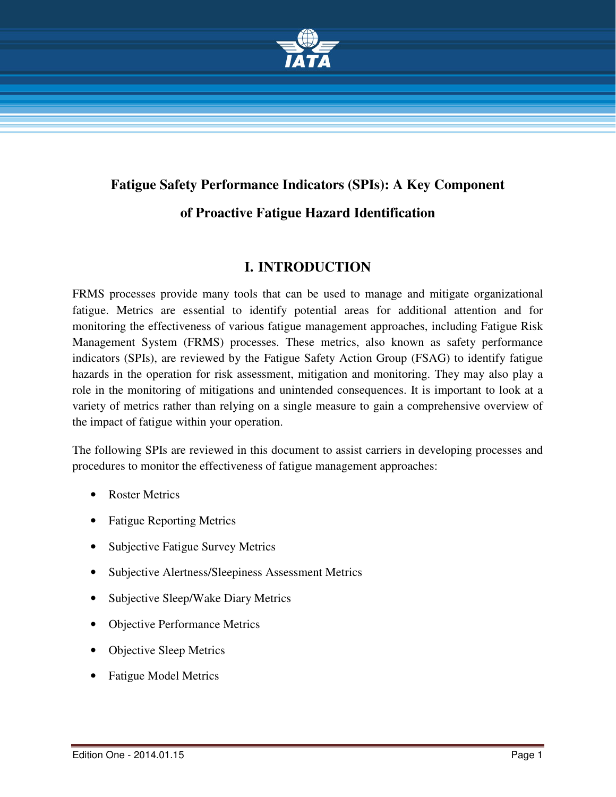

# **Fatigue Safety Performance Indicators (SPIs): A Key Component of Proactive Fatigue Hazard Identification**

# **I. INTRODUCTION**

FRMS processes provide many tools that can be used to manage and mitigate organizational fatigue. Metrics are essential to identify potential areas for additional attention and for monitoring the effectiveness of various fatigue management approaches, including Fatigue Risk Management System (FRMS) processes. These metrics, also known as safety performance indicators (SPIs), are reviewed by the Fatigue Safety Action Group (FSAG) to identify fatigue hazards in the operation for risk assessment, mitigation and monitoring. They may also play a role in the monitoring of mitigations and unintended consequences. It is important to look at a variety of metrics rather than relying on a single measure to gain a comprehensive overview of the impact of fatigue within your operation.

The following SPIs are reviewed in this document to assist carriers in developing processes and procedures to monitor the effectiveness of fatigue management approaches:

- Roster Metrics
- Fatigue Reporting Metrics
- Subjective Fatigue Survey Metrics
- Subjective Alertness/Sleepiness Assessment Metrics
- Subjective Sleep/Wake Diary Metrics
- **Objective Performance Metrics**
- **Objective Sleep Metrics**
- Fatigue Model Metrics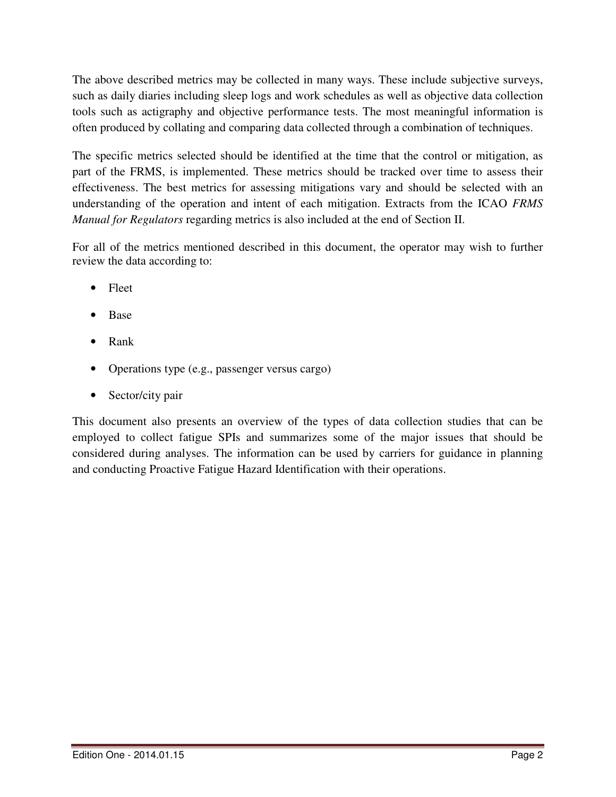The above described metrics may be collected in many ways. These include subjective surveys, such as daily diaries including sleep logs and work schedules as well as objective data collection tools such as actigraphy and objective performance tests. The most meaningful information is often produced by collating and comparing data collected through a combination of techniques.

The specific metrics selected should be identified at the time that the control or mitigation, as part of the FRMS, is implemented. These metrics should be tracked over time to assess their effectiveness. The best metrics for assessing mitigations vary and should be selected with an understanding of the operation and intent of each mitigation. Extracts from the ICAO *FRMS Manual for Regulators* regarding metrics is also included at the end of Section II.

For all of the metrics mentioned described in this document, the operator may wish to further review the data according to:

- Fleet
- Base
- Rank
- Operations type (e.g., passenger versus cargo)
- Sector/city pair

This document also presents an overview of the types of data collection studies that can be employed to collect fatigue SPIs and summarizes some of the major issues that should be considered during analyses. The information can be used by carriers for guidance in planning and conducting Proactive Fatigue Hazard Identification with their operations.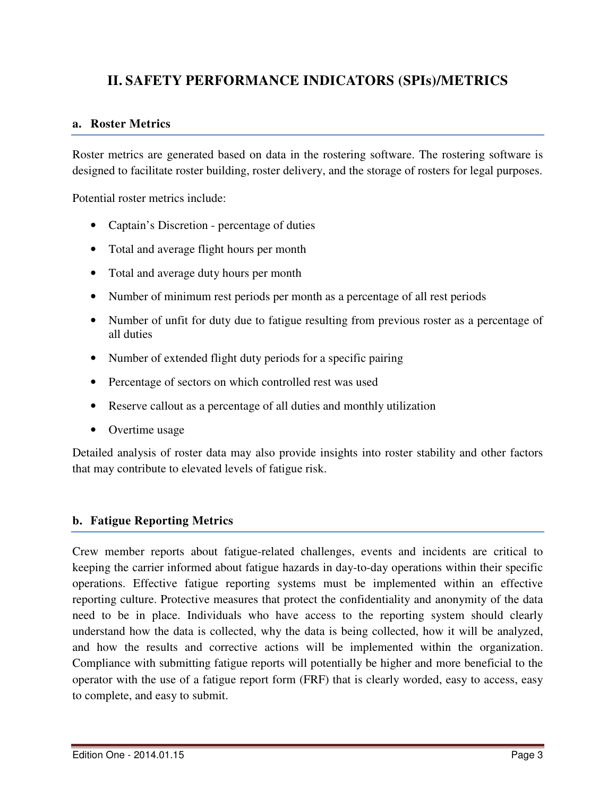# **II. SAFETY PERFORMANCE INDICATORS (SPIs)/METRICS**

# **a. Roster Metrics**

Roster metrics are generated based on data in the rostering software. The rostering software is designed to facilitate roster building, roster delivery, and the storage of rosters for legal purposes.

Potential roster metrics include:

- Captain's Discretion percentage of duties
- Total and average flight hours per month
- Total and average duty hours per month
- Number of minimum rest periods per month as a percentage of all rest periods
- Number of unfit for duty due to fatigue resulting from previous roster as a percentage of all duties
- Number of extended flight duty periods for a specific pairing
- Percentage of sectors on which controlled rest was used
- Reserve callout as a percentage of all duties and monthly utilization
- Overtime usage

Detailed analysis of roster data may also provide insights into roster stability and other factors that may contribute to elevated levels of fatigue risk.

# **b. Fatigue Reporting Metrics**

Crew member reports about fatigue-related challenges, events and incidents are critical to keeping the carrier informed about fatigue hazards in day-to-day operations within their specific operations. Effective fatigue reporting systems must be implemented within an effective reporting culture. Protective measures that protect the confidentiality and anonymity of the data need to be in place. Individuals who have access to the reporting system should clearly understand how the data is collected, why the data is being collected, how it will be analyzed, and how the results and corrective actions will be implemented within the organization. Compliance with submitting fatigue reports will potentially be higher and more beneficial to the operator with the use of a fatigue report form (FRF) that is clearly worded, easy to access, easy to complete, and easy to submit.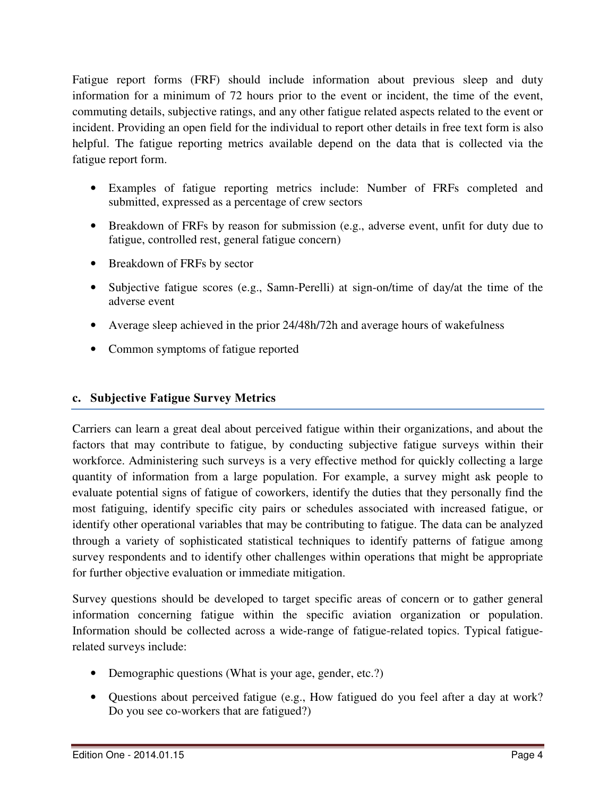Fatigue report forms (FRF) should include information about previous sleep and duty information for a minimum of 72 hours prior to the event or incident, the time of the event, commuting details, subjective ratings, and any other fatigue related aspects related to the event or incident. Providing an open field for the individual to report other details in free text form is also helpful. The fatigue reporting metrics available depend on the data that is collected via the fatigue report form.

- Examples of fatigue reporting metrics include: Number of FRFs completed and submitted, expressed as a percentage of crew sectors
- Breakdown of FRFs by reason for submission (e.g., adverse event, unfit for duty due to fatigue, controlled rest, general fatigue concern)
- Breakdown of FRFs by sector
- Subjective fatigue scores (e.g., Samn-Perelli) at sign-on/time of day/at the time of the adverse event
- Average sleep achieved in the prior 24/48h/72h and average hours of wakefulness
- Common symptoms of fatigue reported

# **c. Subjective Fatigue Survey Metrics**

Carriers can learn a great deal about perceived fatigue within their organizations, and about the factors that may contribute to fatigue, by conducting subjective fatigue surveys within their workforce. Administering such surveys is a very effective method for quickly collecting a large quantity of information from a large population. For example, a survey might ask people to evaluate potential signs of fatigue of coworkers, identify the duties that they personally find the most fatiguing, identify specific city pairs or schedules associated with increased fatigue, or identify other operational variables that may be contributing to fatigue. The data can be analyzed through a variety of sophisticated statistical techniques to identify patterns of fatigue among survey respondents and to identify other challenges within operations that might be appropriate for further objective evaluation or immediate mitigation.

Survey questions should be developed to target specific areas of concern or to gather general information concerning fatigue within the specific aviation organization or population. Information should be collected across a wide-range of fatigue-related topics. Typical fatiguerelated surveys include:

- Demographic questions (What is your age, gender, etc.?)
- Questions about perceived fatigue (e.g., How fatigued do you feel after a day at work? Do you see co-workers that are fatigued?)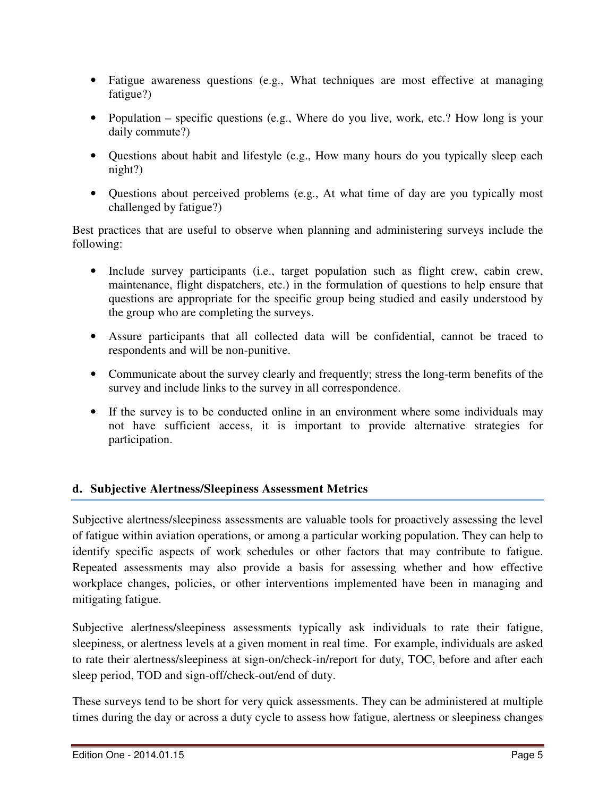- Fatigue awareness questions (e.g., What techniques are most effective at managing fatigue?)
- Population specific questions (e.g., Where do you live, work, etc.? How long is your daily commute?)
- Questions about habit and lifestyle (e.g., How many hours do you typically sleep each night?)
- Questions about perceived problems (e.g., At what time of day are you typically most challenged by fatigue?)

Best practices that are useful to observe when planning and administering surveys include the following:

- Include survey participants (i.e., target population such as flight crew, cabin crew, maintenance, flight dispatchers, etc.) in the formulation of questions to help ensure that questions are appropriate for the specific group being studied and easily understood by the group who are completing the surveys.
- Assure participants that all collected data will be confidential, cannot be traced to respondents and will be non-punitive.
- Communicate about the survey clearly and frequently; stress the long-term benefits of the survey and include links to the survey in all correspondence.
- If the survey is to be conducted online in an environment where some individuals may not have sufficient access, it is important to provide alternative strategies for participation.

# **d. Subjective Alertness/Sleepiness Assessment Metrics**

Subjective alertness/sleepiness assessments are valuable tools for proactively assessing the level of fatigue within aviation operations, or among a particular working population. They can help to identify specific aspects of work schedules or other factors that may contribute to fatigue. Repeated assessments may also provide a basis for assessing whether and how effective workplace changes, policies, or other interventions implemented have been in managing and mitigating fatigue.

Subjective alertness/sleepiness assessments typically ask individuals to rate their fatigue, sleepiness, or alertness levels at a given moment in real time. For example, individuals are asked to rate their alertness/sleepiness at sign-on/check-in/report for duty, TOC, before and after each sleep period, TOD and sign-off/check-out/end of duty.

These surveys tend to be short for very quick assessments. They can be administered at multiple times during the day or across a duty cycle to assess how fatigue, alertness or sleepiness changes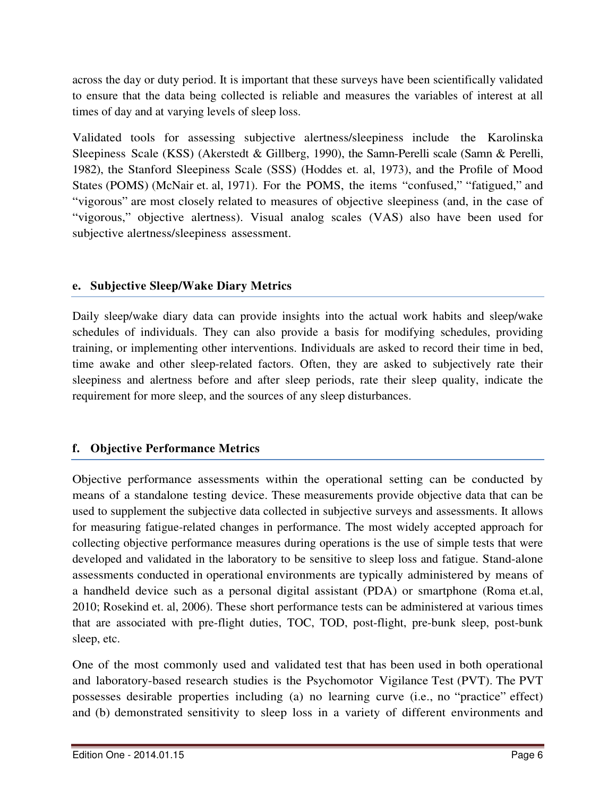across the day or duty period. It is important that these surveys have been scientifically validated to ensure that the data being collected is reliable and measures the variables of interest at all times of day and at varying levels of sleep loss.

Validated tools for assessing subjective alertness/sleepiness include the Karolinska Sleepiness Scale (KSS) (Akerstedt & Gillberg, 1990), the Samn-Perelli scale (Samn & Perelli, 1982), the Stanford Sleepiness Scale (SSS) (Hoddes et. al, 1973), and the Profile of Mood States (POMS) (McNair et. al, 1971). For the POMS, the items "confused," "fatigued," and "vigorous" are most closely related to measures of objective sleepiness (and, in the case of "vigorous," objective alertness). Visual analog scales (VAS) also have been used for subjective alertness/sleepiness assessment.

# **e. Subjective Sleep/Wake Diary Metrics**

Daily sleep/wake diary data can provide insights into the actual work habits and sleep/wake schedules of individuals. They can also provide a basis for modifying schedules, providing training, or implementing other interventions. Individuals are asked to record their time in bed, time awake and other sleep-related factors. Often, they are asked to subjectively rate their sleepiness and alertness before and after sleep periods, rate their sleep quality, indicate the requirement for more sleep, and the sources of any sleep disturbances.

# **f. Objective Performance Metrics**

Objective performance assessments within the operational setting can be conducted by means of a standalone testing device. These measurements provide objective data that can be used to supplement the subjective data collected in subjective surveys and assessments. It allows for measuring fatigue-related changes in performance. The most widely accepted approach for collecting objective performance measures during operations is the use of simple tests that were developed and validated in the laboratory to be sensitive to sleep loss and fatigue. Stand-alone assessments conducted in operational environments are typically administered by means of a handheld device such as a personal digital assistant (PDA) or smartphone (Roma et.al, 2010; Rosekind et. al, 2006). These short performance tests can be administered at various times that are associated with pre-flight duties, TOC, TOD, post-flight, pre-bunk sleep, post-bunk sleep, etc.

One of the most commonly used and validated test that has been used in both operational and laboratory-based research studies is the Psychomotor Vigilance Test (PVT). The PVT possesses desirable properties including (a) no learning curve (i.e., no "practice" effect) and (b) demonstrated sensitivity to sleep loss in a variety of different environments and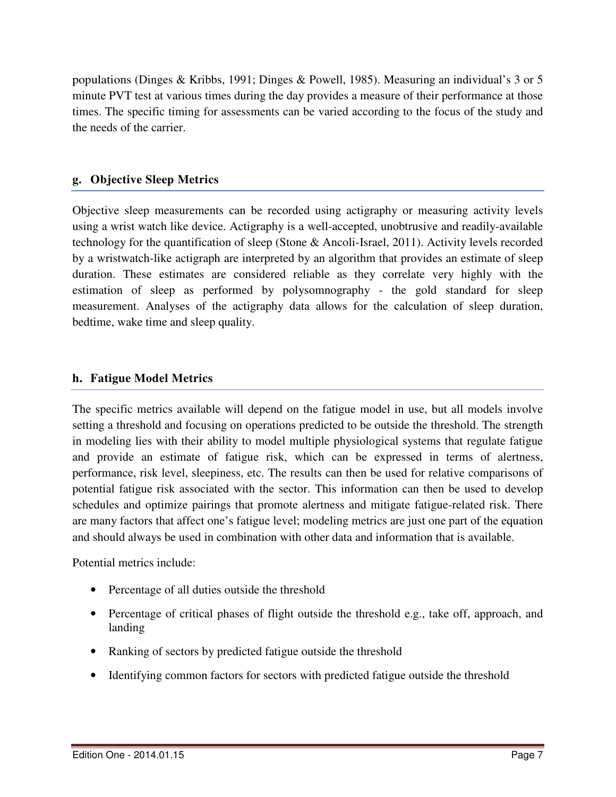populations (Dinges & Kribbs, 1991; Dinges & Powell, 1985). Measuring an individual's 3 or 5 minute PVT test at various times during the day provides a measure of their performance at those times. The specific timing for assessments can be varied according to the focus of the study and the needs of the carrier.

# **g. Objective Sleep Metrics**

Objective sleep measurements can be recorded using actigraphy or measuring activity levels using a wrist watch like device. Actigraphy is a well-accepted, unobtrusive and readily-available technology for the quantification of sleep (Stone & Ancoli-Israel, 2011). Activity levels recorded by a wristwatch-like actigraph are interpreted by an algorithm that provides an estimate of sleep duration. These estimates are considered reliable as they correlate very highly with the estimation of sleep as performed by polysomnography - the gold standard for sleep measurement. Analyses of the actigraphy data allows for the calculation of sleep duration, bedtime, wake time and sleep quality.

# **h. Fatigue Model Metrics**

The specific metrics available will depend on the fatigue model in use, but all models involve setting a threshold and focusing on operations predicted to be outside the threshold. The strength in modeling lies with their ability to model multiple physiological systems that regulate fatigue and provide an estimate of fatigue risk, which can be expressed in terms of alertness, performance, risk level, sleepiness, etc. The results can then be used for relative comparisons of potential fatigue risk associated with the sector. This information can then be used to develop schedules and optimize pairings that promote alertness and mitigate fatigue-related risk. There are many factors that affect one's fatigue level; modeling metrics are just one part of the equation and should always be used in combination with other data and information that is available.

Potential metrics include:

- Percentage of all duties outside the threshold
- Percentage of critical phases of flight outside the threshold e.g., take off, approach, and landing
- Ranking of sectors by predicted fatigue outside the threshold
- Identifying common factors for sectors with predicted fatigue outside the threshold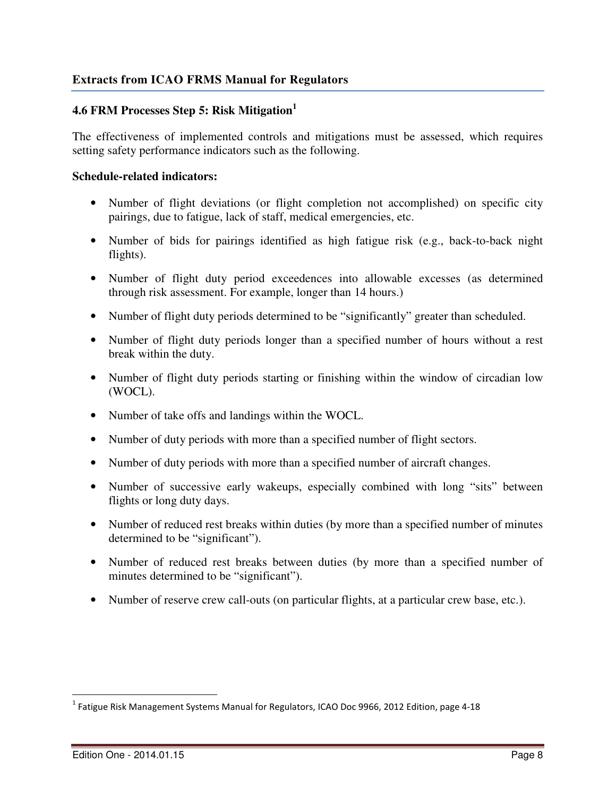# **Extracts from ICAO FRMS Manual for Regulators**

# **4.6 FRM Processes Step 5: Risk Mitigation<sup>1</sup>**

The effectiveness of implemented controls and mitigations must be assessed, which requires setting safety performance indicators such as the following.

#### **Schedule-related indicators:**

- Number of flight deviations (or flight completion not accomplished) on specific city pairings, due to fatigue, lack of staff, medical emergencies, etc.
- Number of bids for pairings identified as high fatigue risk (e.g., back-to-back night flights).
- Number of flight duty period exceedences into allowable excesses (as determined through risk assessment. For example, longer than 14 hours.)
- Number of flight duty periods determined to be "significantly" greater than scheduled.
- Number of flight duty periods longer than a specified number of hours without a rest break within the duty.
- Number of flight duty periods starting or finishing within the window of circadian low (WOCL).
- Number of take offs and landings within the WOCL.
- Number of duty periods with more than a specified number of flight sectors.
- Number of duty periods with more than a specified number of aircraft changes.
- Number of successive early wakeups, especially combined with long "sits" between flights or long duty days.
- Number of reduced rest breaks within duties (by more than a specified number of minutes determined to be "significant").
- Number of reduced rest breaks between duties (by more than a specified number of minutes determined to be "significant").
- Number of reserve crew call-outs (on particular flights, at a particular crew base, etc.).

 1 Fatigue Risk Management Systems Manual for Regulators, ICAO Doc 9966, 2012 Edition, page 4-18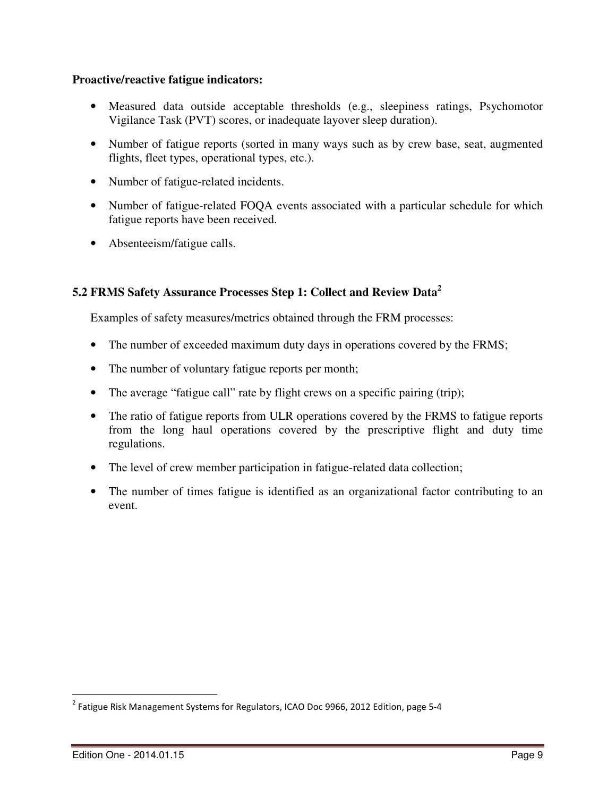#### **Proactive/reactive fatigue indicators:**

- Measured data outside acceptable thresholds (e.g., sleepiness ratings, Psychomotor Vigilance Task (PVT) scores, or inadequate layover sleep duration).
- Number of fatigue reports (sorted in many ways such as by crew base, seat, augmented flights, fleet types, operational types, etc.).
- Number of fatigue-related incidents.
- Number of fatigue-related FOOA events associated with a particular schedule for which fatigue reports have been received.
- Absenteeism/fatigue calls.

# **5.2 FRMS Safety Assurance Processes Step 1: Collect and Review Data<sup>2</sup>**

Examples of safety measures/metrics obtained through the FRM processes:

- The number of exceeded maximum duty days in operations covered by the FRMS;
- The number of voluntary fatigue reports per month;
- The average "fatigue call" rate by flight crews on a specific pairing (trip);
- The ratio of fatigue reports from ULR operations covered by the FRMS to fatigue reports from the long haul operations covered by the prescriptive flight and duty time regulations.
- The level of crew member participation in fatigue-related data collection;
- The number of times fatigue is identified as an organizational factor contributing to an event.

 2 Fatigue Risk Management Systems for Regulators, ICAO Doc 9966, 2012 Edition, page 5-4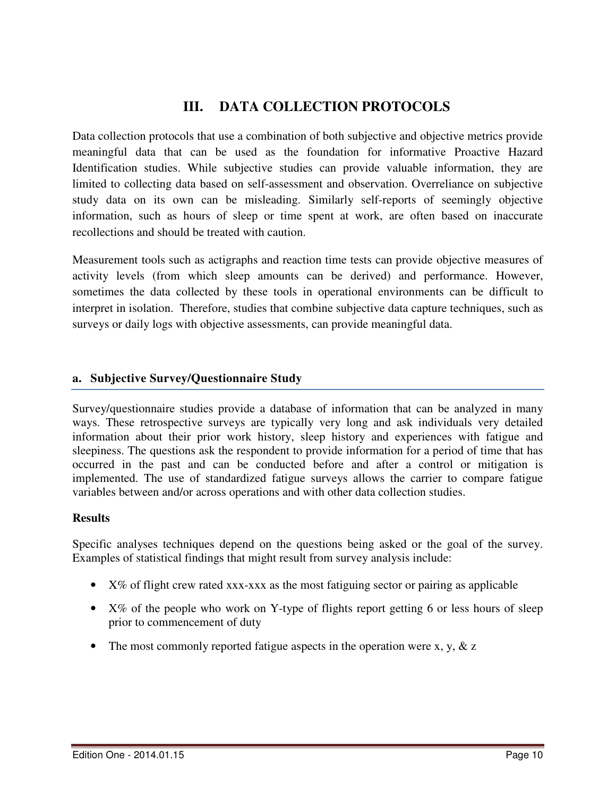# **III. DATA COLLECTION PROTOCOLS**

Data collection protocols that use a combination of both subjective and objective metrics provide meaningful data that can be used as the foundation for informative Proactive Hazard Identification studies. While subjective studies can provide valuable information, they are limited to collecting data based on self-assessment and observation. Overreliance on subjective study data on its own can be misleading. Similarly self-reports of seemingly objective information, such as hours of sleep or time spent at work, are often based on inaccurate recollections and should be treated with caution.

Measurement tools such as actigraphs and reaction time tests can provide objective measures of activity levels (from which sleep amounts can be derived) and performance. However, sometimes the data collected by these tools in operational environments can be difficult to interpret in isolation. Therefore, studies that combine subjective data capture techniques, such as surveys or daily logs with objective assessments, can provide meaningful data.

#### **a. Subjective Survey/Questionnaire Study**

Survey/questionnaire studies provide a database of information that can be analyzed in many ways. These retrospective surveys are typically very long and ask individuals very detailed information about their prior work history, sleep history and experiences with fatigue and sleepiness. The questions ask the respondent to provide information for a period of time that has occurred in the past and can be conducted before and after a control or mitigation is implemented. The use of standardized fatigue surveys allows the carrier to compare fatigue variables between and/or across operations and with other data collection studies.

#### **Results**

Specific analyses techniques depend on the questions being asked or the goal of the survey. Examples of statistical findings that might result from survey analysis include:

- X% of flight crew rated xxx-xxx as the most fatiguing sector or pairing as applicable
- X% of the people who work on Y-type of flights report getting 6 or less hours of sleep prior to commencement of duty
- The most commonly reported fatigue aspects in the operation were x, y,  $\&$  z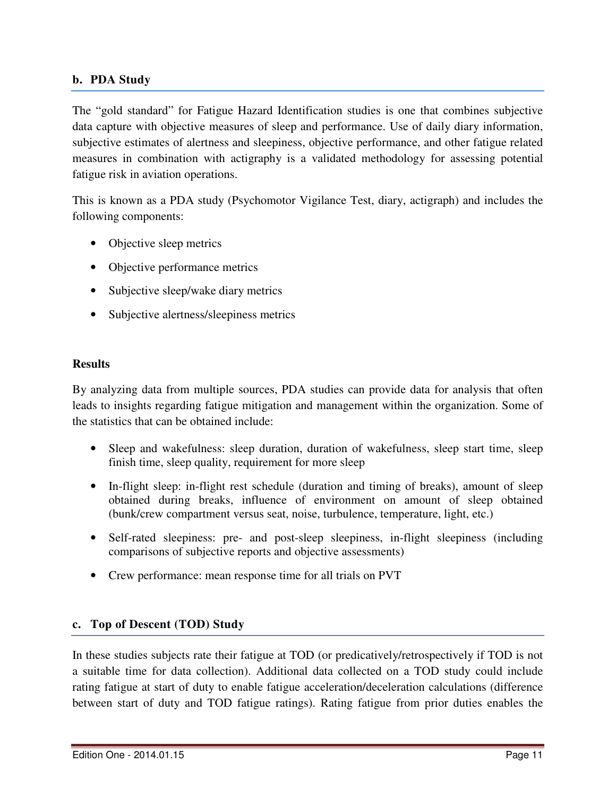# **b. PDA Study**

The "gold standard" for Fatigue Hazard Identification studies is one that combines subjective data capture with objective measures of sleep and performance. Use of daily diary information, subjective estimates of alertness and sleepiness, objective performance, and other fatigue related measures in combination with actigraphy is a validated methodology for assessing potential fatigue risk in aviation operations.

This is known as a PDA study (Psychomotor Vigilance Test, diary, actigraph) and includes the following components:

- Objective sleep metrics
- Objective performance metrics
- Subjective sleep/wake diary metrics
- Subjective alertness/sleepiness metrics

#### **Results**

By analyzing data from multiple sources, PDA studies can provide data for analysis that often leads to insights regarding fatigue mitigation and management within the organization. Some of the statistics that can be obtained include:

- Sleep and wakefulness: sleep duration, duration of wakefulness, sleep start time, sleep finish time, sleep quality, requirement for more sleep
- In-flight sleep: in-flight rest schedule (duration and timing of breaks), amount of sleep obtained during breaks, influence of environment on amount of sleep obtained (bunk/crew compartment versus seat, noise, turbulence, temperature, light, etc.)
- Self-rated sleepiness: pre- and post-sleep sleepiness, in-flight sleepiness (including comparisons of subjective reports and objective assessments)
- Crew performance: mean response time for all trials on PVT

# **c. Top of Descent (TOD) Study**

In these studies subjects rate their fatigue at TOD (or predicatively/retrospectively if TOD is not a suitable time for data collection). Additional data collected on a TOD study could include rating fatigue at start of duty to enable fatigue acceleration/deceleration calculations (difference between start of duty and TOD fatigue ratings). Rating fatigue from prior duties enables the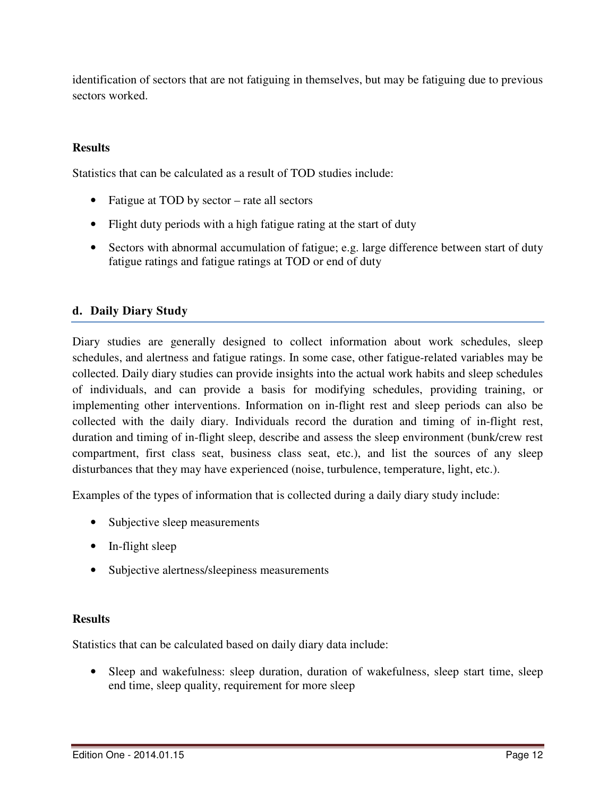identification of sectors that are not fatiguing in themselves, but may be fatiguing due to previous sectors worked.

# **Results**

Statistics that can be calculated as a result of TOD studies include:

- Fatigue at TOD by sector rate all sectors
- Flight duty periods with a high fatigue rating at the start of duty
- Sectors with abnormal accumulation of fatigue; e.g. large difference between start of duty fatigue ratings and fatigue ratings at TOD or end of duty

# **d. Daily Diary Study**

Diary studies are generally designed to collect information about work schedules, sleep schedules, and alertness and fatigue ratings. In some case, other fatigue-related variables may be collected. Daily diary studies can provide insights into the actual work habits and sleep schedules of individuals, and can provide a basis for modifying schedules, providing training, or implementing other interventions. Information on in-flight rest and sleep periods can also be collected with the daily diary. Individuals record the duration and timing of in-flight rest, duration and timing of in-flight sleep, describe and assess the sleep environment (bunk/crew rest compartment, first class seat, business class seat, etc.), and list the sources of any sleep disturbances that they may have experienced (noise, turbulence, temperature, light, etc.).

Examples of the types of information that is collected during a daily diary study include:

- Subjective sleep measurements
- In-flight sleep
- Subjective alertness/sleepiness measurements

#### **Results**

Statistics that can be calculated based on daily diary data include:

• Sleep and wakefulness: sleep duration, duration of wakefulness, sleep start time, sleep end time, sleep quality, requirement for more sleep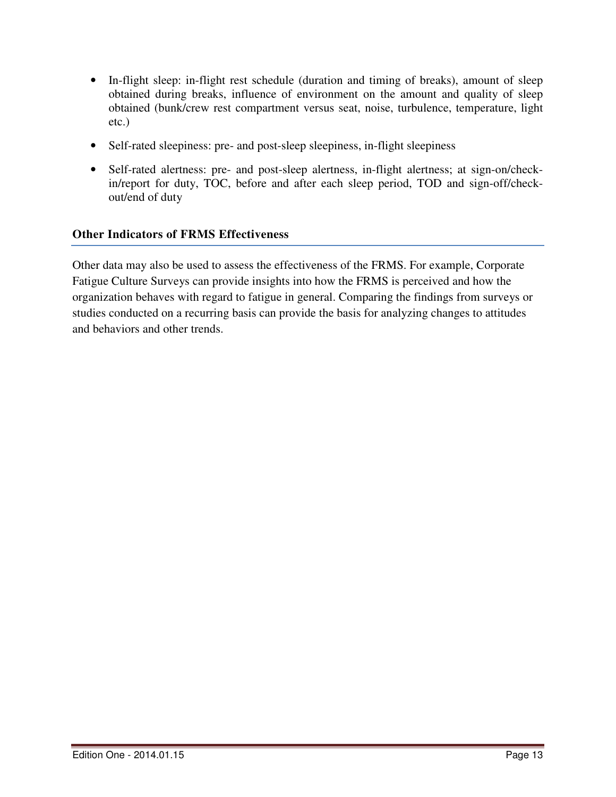- In-flight sleep: in-flight rest schedule (duration and timing of breaks), amount of sleep obtained during breaks, influence of environment on the amount and quality of sleep obtained (bunk/crew rest compartment versus seat, noise, turbulence, temperature, light etc.)
- Self-rated sleepiness: pre- and post-sleep sleepiness, in-flight sleepiness
- Self-rated alertness: pre- and post-sleep alertness, in-flight alertness; at sign-on/checkin/report for duty, TOC, before and after each sleep period, TOD and sign-off/checkout/end of duty

# **Other Indicators of FRMS Effectiveness**

Other data may also be used to assess the effectiveness of the FRMS. For example, Corporate Fatigue Culture Surveys can provide insights into how the FRMS is perceived and how the organization behaves with regard to fatigue in general. Comparing the findings from surveys or studies conducted on a recurring basis can provide the basis for analyzing changes to attitudes and behaviors and other trends.